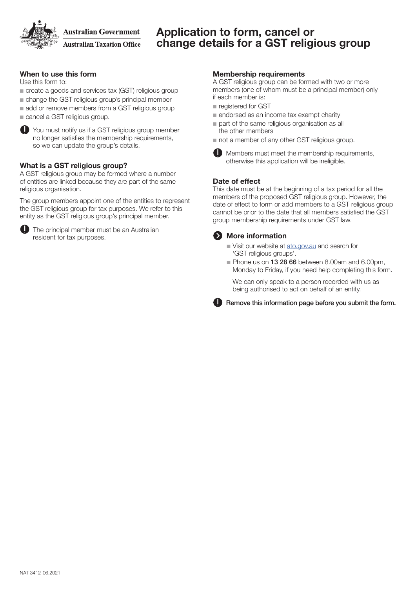**Australian Government Australian Taxation Office** 

### Application to form, cancel or change details for a GST religious group

### When to use this form

Use this form to:

- n create a goods and services tax (GST) religious group
- $\blacksquare$  change the GST religious group's principal member
- add or remove members from a GST religious group
- $\blacksquare$  cancel a GST religious group.



You must notify us if a GST religious group member no longer satisfies the membership requirements, so we can update the group's details.

### What is a GST religious group?

A GST religious group may be formed where a number of entities are linked because they are part of the same religious organisation.

The group members appoint one of the entities to represent the GST religious group for tax purposes. We refer to this entity as the GST religious group's principal member.



**ID** The principal member must be an Australian resident for tax purposes.

### Membership requirements

A GST religious group can be formed with two or more members (one of whom must be a principal member) only if each member is:

- n registered for GST
- $\blacksquare$  endorsed as an income tax exempt charity
- $\blacksquare$  part of the same religious organisation as all the other members
- not a member of any other GST religious group.



**Members must meet the membership requirements,** otherwise this application will be ineligible.

### Date of effect

This date must be at the beginning of a tax period for all the members of the proposed GST religious group. However, the date of effect to form or add members to a GST religious group cannot be prior to the date that all members satisfied the GST group membership requirements under GST law.

### **2** More information

- visit our website at [ato.gov.au](http://www.ato.gov.au) and search for 'GST religious groups'.
- Phone us on 13 28 66 between 8.00am and 6.00pm, Monday to Friday, if you need help completing this form.

We can only speak to a person recorded with us as being authorised to act on behalf of an entity.

**C** Remove this information page before you submit the form.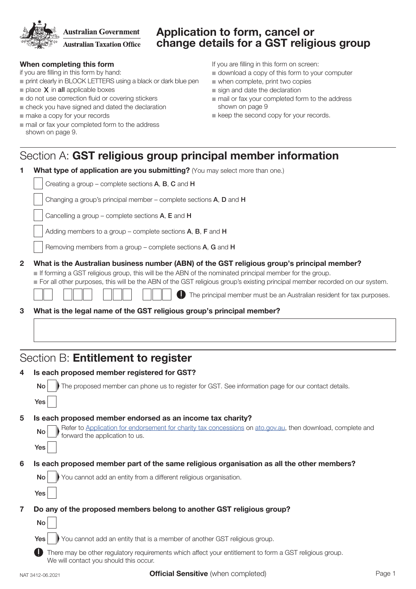**Australian Government** 

**Australian Taxation Office** 

## Application to form, cancel or change details for a GST religious group

### When completing this form

if you are filling in this form by hand:

- n print clearly in BLOCK LETTERS using a black or dark blue pen
- $\blacksquare$  place  $X$  in all applicable boxes
- $\blacksquare$  do not use correction fluid or covering stickers
- $\blacksquare$  check you have signed and dated the declaration
- $\blacksquare$  make a copy for your records
- $\blacksquare$  mail or fax your completed form to the address shown on page 9.

If you are filling in this form on screen:

- $\blacksquare$  download a copy of this form to your computer
- $\blacksquare$  when complete, print two copies
- $\blacksquare$  sign and date the declaration
- $\blacksquare$  mail or fax your completed form to the address shown on page 9
- $\blacksquare$  keep the second copy for your records.

## Section A: GST religious group principal member information

| 1              | What type of application are you submitting? (You may select more than one.)                                                                                                                                                                                                                                                                                                                                           |  |  |
|----------------|------------------------------------------------------------------------------------------------------------------------------------------------------------------------------------------------------------------------------------------------------------------------------------------------------------------------------------------------------------------------------------------------------------------------|--|--|
|                | Creating a group - complete sections A, B, C and H                                                                                                                                                                                                                                                                                                                                                                     |  |  |
|                | Changing a group's principal member – complete sections A, D and H                                                                                                                                                                                                                                                                                                                                                     |  |  |
|                | Cancelling a group – complete sections $A$ , $E$ and $H$                                                                                                                                                                                                                                                                                                                                                               |  |  |
|                | Adding members to a group – complete sections $A$ , $B$ , $F$ and $H$                                                                                                                                                                                                                                                                                                                                                  |  |  |
|                | Removing members from a group – complete sections $A$ , $G$ and $H$                                                                                                                                                                                                                                                                                                                                                    |  |  |
| $\overline{2}$ | What is the Australian business number (ABN) of the GST religious group's principal member?<br>■ If forming a GST religious group, this will be the ABN of the nominated principal member for the group.<br>For all other purposes, this will be the ABN of the GST religious group's existing principal member recorded on our system.<br>ID<br>The principal member must be an Australian resident for tax purposes. |  |  |
| 3              | What is the legal name of the GST religious group's principal member?                                                                                                                                                                                                                                                                                                                                                  |  |  |

## Section B: Entitlement to register

| 4              | Is each proposed member registered for GST?                                                                                                       |  |  |
|----------------|---------------------------------------------------------------------------------------------------------------------------------------------------|--|--|
|                | The proposed member can phone us to register for GST. See information page for our contact details.<br><b>No</b>                                  |  |  |
|                | Yes                                                                                                                                               |  |  |
| 5              | Is each proposed member endorsed as an income tax charity?                                                                                        |  |  |
|                | Refer to Application for endorsement for charity tax concessions on ato.gov.au, then download, complete and forward the application to us.<br>No  |  |  |
|                | Yes                                                                                                                                               |  |  |
| 6              | Is each proposed member part of the same religious organisation as all the other members?                                                         |  |  |
|                | You cannot add an entity from a different religious organisation.<br><b>No</b>                                                                    |  |  |
|                | Yes                                                                                                                                               |  |  |
| $\overline{7}$ | Do any of the proposed members belong to another GST religious group?                                                                             |  |  |
|                | No                                                                                                                                                |  |  |
|                | You cannot add an entity that is a member of another GST religious group.<br><b>Yes</b>                                                           |  |  |
|                | There may be other regulatory requirements which affect your entitlement to form a GST religious group.<br>We will contact you should this occur. |  |  |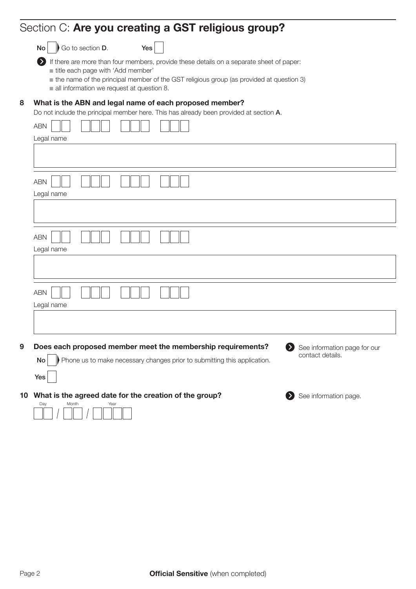# Section C: Are you creating a GST religious group?

|  |  | $No \nightharpoonup$ Go to section D. | Yes |
|--|--|---------------------------------------|-----|
|--|--|---------------------------------------|-----|

 If there are more than four members, provide these details on a separate sheet of paper:  $i$  title each page with 'Add member'

- $\blacksquare$  the name of the principal member of the GST religious group (as provided at question 3)
- $\blacksquare$  all information we request at question 8.

### 8 What is the ABN and legal name of each proposed member?

Do not include the principal member here. This has already been provided at section A.

|   | <b>ABN</b><br>Legal name                                                                                                                                                                                       |
|---|----------------------------------------------------------------------------------------------------------------------------------------------------------------------------------------------------------------|
|   |                                                                                                                                                                                                                |
|   | <b>ABN</b><br>Legal name                                                                                                                                                                                       |
|   |                                                                                                                                                                                                                |
|   | <b>ABN</b><br>Legal name                                                                                                                                                                                       |
|   |                                                                                                                                                                                                                |
|   | <b>ABN</b><br>Legal name                                                                                                                                                                                       |
|   |                                                                                                                                                                                                                |
| 9 | Does each proposed member meet the membership requirements?<br>See information page for our<br>$\bullet$<br>contact details.<br>Phone us to make necessary changes prior to submitting this application.<br>No |
|   | Yes                                                                                                                                                                                                            |
|   | 10 What is the agreed date for the creation of the group?<br>See information page.<br>Ð<br>Month<br>Day<br>Year                                                                                                |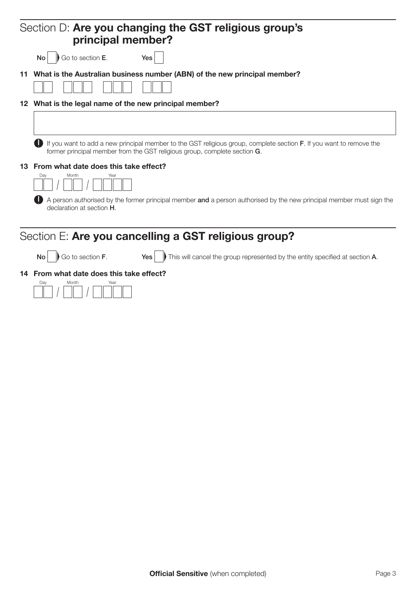| Section D: Are you changing the GST religious group's<br>principal member?                                                                                                                       |
|--------------------------------------------------------------------------------------------------------------------------------------------------------------------------------------------------|
| Go to section E.<br>Yes<br><b>No</b>                                                                                                                                                             |
| 11 What is the Australian business number (ABN) of the new principal member?                                                                                                                     |
| 12 What is the legal name of the new principal member?                                                                                                                                           |
|                                                                                                                                                                                                  |
| If you want to add a new principal member to the GST religious group, complete section F. If you want to remove the<br>former principal member from the GST religious group, complete section G. |
| 13 From what date does this take effect?<br>Dav<br>Month<br>Year                                                                                                                                 |
|                                                                                                                                                                                                  |
| A person authorised by the former principal member and a person authorised by the new principal member must sign the<br>declaration at section <b>H</b> .                                        |
| Section E: Are you cancelling a GST religious group?                                                                                                                                             |
| Go to section <b>F</b> . $Yes$<br>This will cancel the group represented by the entity specified at section A.<br>No                                                                             |
| 14 From what date does this take effect?                                                                                                                                                         |
| Dav<br>Month<br>Year                                                                                                                                                                             |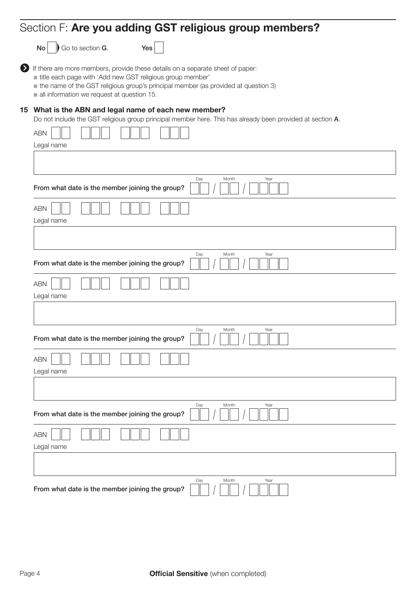# Section F: Are you adding GST religious group members?

 $\overline{\mathsf{No}}$  Go to section G.

| ٠ |  |
|---|--|
|---|--|

If there are more members, provide these details on a separate sheet of paper:

title each page with 'Add new GST religious group member'

 $\blacksquare$  the name of the GST religious group's principal member (as provided at question 3)

 $\blacksquare$  all information we request at question 15.

### 15 What is the ABN and legal name of each new member?

Do not include the GST religious group principal member here. This has already been provided at section A.

| ABN                                                                     |
|-------------------------------------------------------------------------|
| Legal name                                                              |
|                                                                         |
|                                                                         |
| Day<br>Month<br>Year<br>From what date is the member joining the group? |
| <b>ABN</b><br>Legal name                                                |
|                                                                         |
|                                                                         |
| Day<br>Month<br>Year<br>From what date is the member joining the group? |
| ABN                                                                     |
| Legal name                                                              |
|                                                                         |
| Day<br>Month<br>Year<br>From what date is the member joining the group? |
| ABN                                                                     |
| Legal name                                                              |
|                                                                         |
| Day<br>Year<br>Month<br>From what date is the member joining the group? |
| ABN<br>Legal name                                                       |
|                                                                         |
| Day<br>Month<br>Year<br>From what date is the member joining the group? |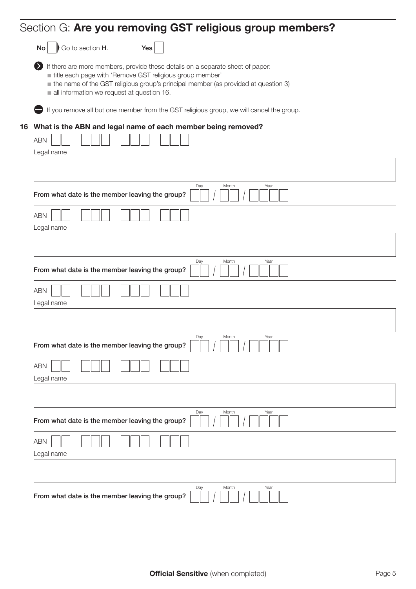|                          | Section G: Are you removing GST religious group members?                                                                                                                                                                                                                       |
|--------------------------|--------------------------------------------------------------------------------------------------------------------------------------------------------------------------------------------------------------------------------------------------------------------------------|
| Go to section H.<br>No   | Yes                                                                                                                                                                                                                                                                            |
| Ø                        | If there are more members, provide these details on a separate sheet of paper:<br>title each page with 'Remove GST religious group member'<br>the name of the GST religious group's principal member (as provided at question 3)<br>all information we request at question 16. |
|                          | If you remove all but one member from the GST religious group, we will cancel the group.                                                                                                                                                                                       |
| <b>ABN</b><br>Legal name | 16 What is the ABN and legal name of each member being removed?                                                                                                                                                                                                                |
|                          |                                                                                                                                                                                                                                                                                |
|                          | Day<br>Month<br>Year<br>From what date is the member leaving the group?                                                                                                                                                                                                        |
| <b>ABN</b><br>Legal name |                                                                                                                                                                                                                                                                                |
|                          |                                                                                                                                                                                                                                                                                |
|                          | Month<br>Year<br>Day<br>From what date is the member leaving the group?                                                                                                                                                                                                        |
| <b>ABN</b><br>Legal name |                                                                                                                                                                                                                                                                                |
|                          |                                                                                                                                                                                                                                                                                |
|                          | Day<br>Month<br>Year<br>From what date is the member leaving the group?                                                                                                                                                                                                        |
| <b>ABN</b><br>Legal name |                                                                                                                                                                                                                                                                                |
|                          |                                                                                                                                                                                                                                                                                |
|                          | Day<br>Month<br>Year<br>From what date is the member leaving the group?                                                                                                                                                                                                        |
| <b>ABN</b><br>Legal name |                                                                                                                                                                                                                                                                                |
|                          |                                                                                                                                                                                                                                                                                |
|                          | Day<br>Month<br>Year<br>From what date is the member leaving the group?                                                                                                                                                                                                        |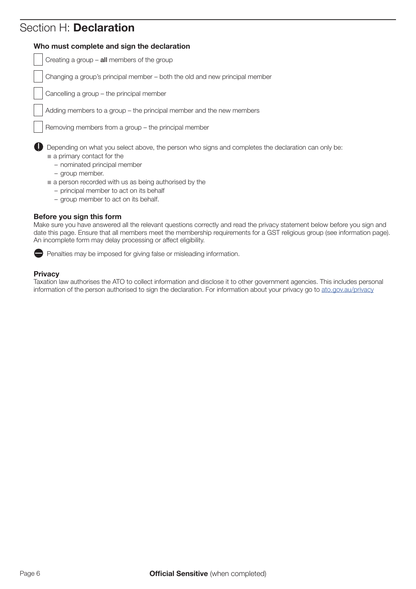# Section H: Declaration

### Who must complete and sign the declaration

Creating a group  $-$  all members of the group

Changing a group's principal member – both the old and new principal member

Cancelling a group – the principal member

Adding members to a group – the principal member and the new members

Removing members from a group – the principal member

Depending on what you select above, the person who signs and completes the declaration can only be:

- $\blacksquare$  a primary contact for the
	- nominated principal member
	- group member.
- $\blacksquare$  a person recorded with us as being authorised by the
	- principal member to act on its behalf
	- group member to act on its behalf.

### Before you sign this form

Make sure you have answered all the relevant questions correctly and read the privacy statement below before you sign and date this page. Ensure that all members meet the membership requirements for a GST religious group (see information page). An incomplete form may delay processing or affect eligibility.



### **Privacy**

Taxation law authorises the ATO to collect information and disclose it to other government agencies. This includes personal information of the person authorised to sign the declaration. For information about your privacy go to [ato.gov.au/privacy](http://www.ato.gov.au/privacy)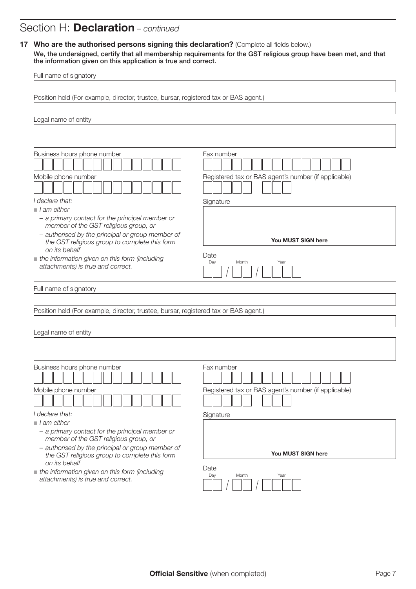## Section H: Declaration – *continued*

### 17 Who are the authorised persons signing this declaration? (Complete all fields below.)

We, the undersigned, certify that all membership requirements for the GST religious group have been met, and that the information given on this application is true and correct.

| Full name of signatory                                                                            |                                                      |  |  |
|---------------------------------------------------------------------------------------------------|------------------------------------------------------|--|--|
|                                                                                                   |                                                      |  |  |
| Position held (For example, director, trustee, bursar, registered tax or BAS agent.)              |                                                      |  |  |
|                                                                                                   |                                                      |  |  |
| Legal name of entity                                                                              |                                                      |  |  |
|                                                                                                   |                                                      |  |  |
| Business hours phone number                                                                       | Fax number                                           |  |  |
|                                                                                                   |                                                      |  |  |
| Mobile phone number                                                                               | Registered tax or BAS agent's number (if applicable) |  |  |
| I declare that:                                                                                   | Signature                                            |  |  |
| $\blacksquare$ I am either                                                                        |                                                      |  |  |
| - a primary contact for the principal member or<br>member of the GST religious group, or          |                                                      |  |  |
| - authorised by the principal or group member of<br>the GST religious group to complete this form | You MUST SIGN here                                   |  |  |
| on its behalf                                                                                     | Date                                                 |  |  |
| the information given on this form (including<br>attachments) is true and correct.                | Day<br>Month<br>Year                                 |  |  |
| Full name of signatory                                                                            |                                                      |  |  |
|                                                                                                   |                                                      |  |  |
| Position held (For example, director, trustee, bursar, registered tax or BAS agent.)              |                                                      |  |  |
|                                                                                                   |                                                      |  |  |
| Legal name of entity                                                                              |                                                      |  |  |
|                                                                                                   |                                                      |  |  |
|                                                                                                   |                                                      |  |  |
| Business hours phone number                                                                       | Fax number                                           |  |  |
| Mobile phone number                                                                               | Registered tax or BAS agent's number (if applicable) |  |  |
| I declare that:                                                                                   |                                                      |  |  |
| $\blacksquare$ I am either                                                                        | Signature                                            |  |  |
| - a primary contact for the principal member or                                                   |                                                      |  |  |
| member of the GST religious group, or                                                             |                                                      |  |  |
| - authorised by the principal or group member of<br>the GST religious group to complete this form | You MUST SIGN here                                   |  |  |
| on its behalf<br>the information given on this form (including                                    | Date                                                 |  |  |
| attachments) is true and correct.                                                                 | Day<br>Month<br>Year                                 |  |  |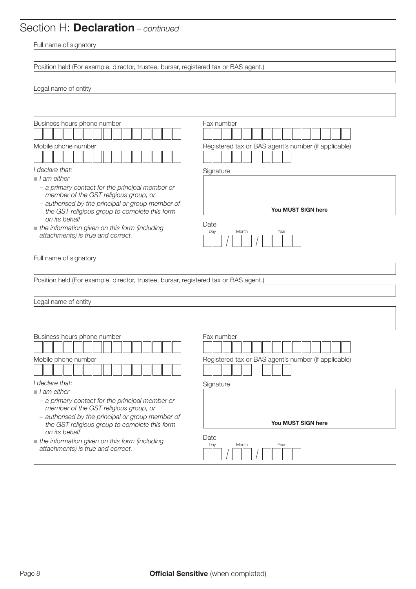# Section H: Declaration – *continued*

| Full name of signatory                                                                                                                                                                                                      |                                                                    |  |  |
|-----------------------------------------------------------------------------------------------------------------------------------------------------------------------------------------------------------------------------|--------------------------------------------------------------------|--|--|
|                                                                                                                                                                                                                             |                                                                    |  |  |
| Position held (For example, director, trustee, bursar, registered tax or BAS agent.)                                                                                                                                        |                                                                    |  |  |
|                                                                                                                                                                                                                             |                                                                    |  |  |
| Legal name of entity                                                                                                                                                                                                        |                                                                    |  |  |
|                                                                                                                                                                                                                             |                                                                    |  |  |
| Business hours phone number<br>Mobile phone number<br>I declare that:                                                                                                                                                       | Fax number<br>Registered tax or BAS agent's number (if applicable) |  |  |
| $\blacksquare$ I am either                                                                                                                                                                                                  | Signature                                                          |  |  |
| - a primary contact for the principal member or<br>member of the GST religious group, or<br>- authorised by the principal or group member of<br>the GST religious group to complete this form                               | You MUST SIGN here                                                 |  |  |
| on its behalf<br>the information given on this form (including<br>attachments) is true and correct.                                                                                                                         | Date<br>Day<br>Month<br>Year                                       |  |  |
| Full name of signatory                                                                                                                                                                                                      |                                                                    |  |  |
|                                                                                                                                                                                                                             |                                                                    |  |  |
| Position held (For example, director, trustee, bursar, registered tax or BAS agent.)                                                                                                                                        |                                                                    |  |  |
|                                                                                                                                                                                                                             |                                                                    |  |  |
| Legal name of entity                                                                                                                                                                                                        |                                                                    |  |  |
|                                                                                                                                                                                                                             |                                                                    |  |  |
| Business hours phone number<br>Mobile phone number                                                                                                                                                                          | Fax number<br>Registered tax or BAS agent's number (if applicable) |  |  |
|                                                                                                                                                                                                                             |                                                                    |  |  |
| I declare that:                                                                                                                                                                                                             | Signature                                                          |  |  |
| $\blacksquare$ I am either<br>- a primary contact for the principal member or<br>member of the GST religious group, or<br>- authorised by the principal or group member of<br>the GST religious group to complete this form | You MUST SIGN here                                                 |  |  |
| on its behalf<br>the information given on this form (including<br>attachments) is true and correct.                                                                                                                         | Date<br>Day<br>Month<br>Year                                       |  |  |